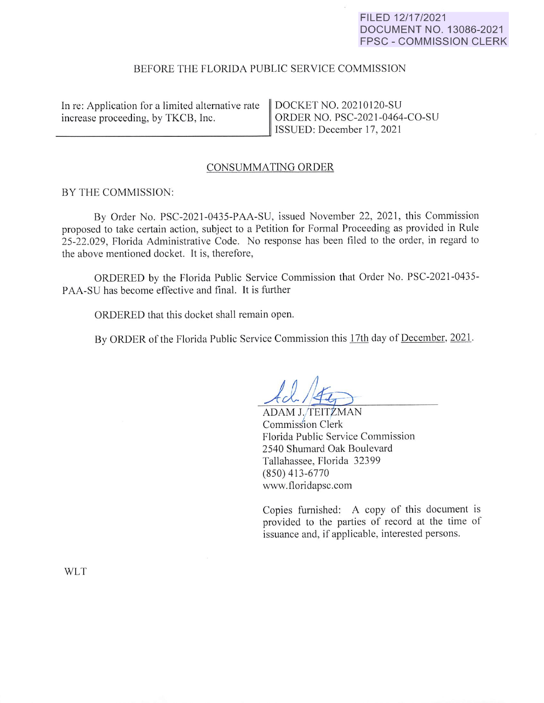# **FILED 12/17/2021 DOCUMENT NO. 13086-2021 FPSC - COMMISSION CLERK**

# BEFORE THE FLORIDA PUBLIC SERVICE COMMISSION

In re: Application for a limited alternative rate increase proceeding, by TKCB, Inc. C

DOCKET NO. 20210 120-SU ORDER NO. PSC-202 1-0464-CO-SU ISSUED: December 17, 2021

## CONSUMMATING ORDER

## BY THE COMMISSION:

By Order No. PSC-2021-0435-PAA-SU, issued November 22, 2021, this Commission proposed to take certain action, subject to a Petition for Formal Proceeding as provided in Rule 25-22.029, Florida Administrative Code. No response has been filed to the order, in regard to the above mentioned docket. It is, therefore,

ORDERED by the Florida Public Service Commission that Order No. PSC-2021-0435-PAA-SU has become effective and final. It is further

ORDERED that this docket shall remain open.

By ORDER of the Florida Public Service Commission this 17th day of December, 2021.

ADAM J./TEITZMAN Commission Clerk Florida Public Service Commission 2540 Shumard Oak Boulevard Tallahassee, Florida 32399 (850) 413-6770 www.floridapsc.com

Copies furnished: A copy of this document is provided to the parties of record at the time of issuance and, if applicable, interested persons.

WLT